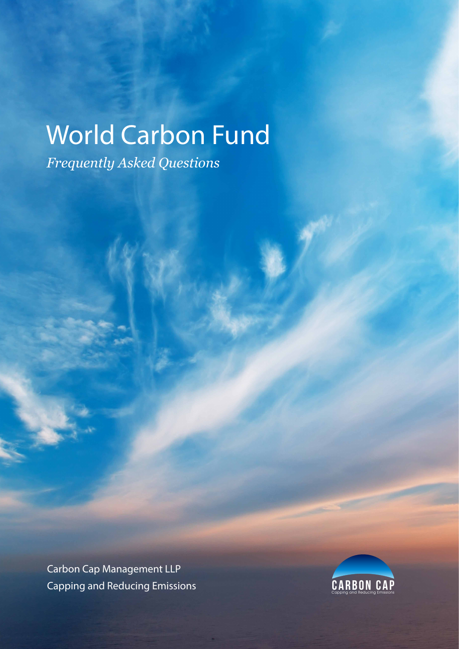*Frequently Asked Questions*

Carbon Cap Management LLP Capping and Reducing Emissions Capping and Reducing Emissions

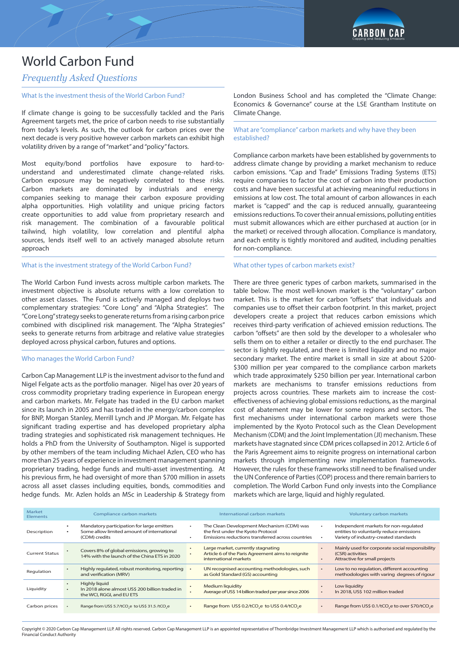

### *Frequently Asked Questions*

#### What Is the investment thesis of the World Carbon Fund?

If climate change is going to be successfully tackled and the Paris Agreement targets met, the price of carbon needs to rise substantially from today's levels. As such, the outlook for carbon prices over the next decade is very positive however carbon markets can exhibit high volatility driven by a range of "market" and "policy" factors.

Most equity/bond portfolios have exposure to hard-tounderstand and underestimated climate change-related risks. Carbon exposure may be negatively correlated to these risks. Carbon markets are dominated by industrials and energy companies seeking to manage their carbon exposure providing alpha opportunities. High volatility and unique pricing factors create opportunities to add value from proprietary research and risk management. The combination of a favourable political tailwind, high volatility, low correlation and plentiful alpha sources, lends itself well to an actively managed absolute return approach

#### What is the investment strategy of the World Carbon Fund?

The World Carbon Fund invests across multiple carbon markets. The investment objective is absolute returns with a low correlation to other asset classes. The Fund is actively managed and deploys two complementary strategies: "Core Long" and "Alpha Strategies". The "Core Long" strategy seeks to generate returns from a rising carbon price combined with disciplined risk management. The "Alpha Strategies" seeks to generate returns from arbitrage and relative value strategies deployed across physical carbon, futures and options.

#### Who manages the World Carbon Fund?

Carbon Cap Management LLP is the investment advisor to the fund and Nigel Felgate acts as the portfolio manager. Nigel has over 20 years of cross commodity proprietary trading experience in European energy and carbon markets. Mr. Felgate has traded in the EU carbon market since its launch in 2005 and has traded in the energy/carbon complex for BNP, Morgan Stanley, Merrill Lynch and JP Morgan. Mr. Felgate has significant trading expertise and has developed proprietary alpha trading strategies and sophisticated risk management techniques. He holds a PhD from the University of Southampton. Nigel is supported by other members of the team including Michael Azlen, CEO who has more than 25 years of experience in investment management spanning proprietary trading, hedge funds and multi-asset investmenting. At his previous firm, he had oversight of more than \$700 million in assets across all asset classes including equities, bonds, commodities and hedge funds. Mr. Azlen holds an MSc in Leadership & Strategy from London Business School and has completed the "Climate Change: Economics & Governance" course at the LSE Grantham Institute on Climate Change.

#### What are "compliance" carbon markets and why have they been established?

Compliance carbon markets have been established by governments to address climate change by providing a market mechanism to reduce carbon emissions. "Cap and Trade" Emissions Trading Systems (ETS) require companies to factor the cost of carbon into their production costs and have been successful at achieving meaningful reductions in emissions at low cost. The total amount of carbon allowances in each market is "capped" and the cap is reduced annually, guaranteeing emissions reductions. To cover their annual emissions, polluting entities must submit allowances which are either purchased at auction (or in the market) or received through allocation. Compliance is mandatory, and each entity is tightly monitored and audited, including penalties for non-compliance.

#### What other types of carbon markets exist?

There are three generic types of carbon markets, summarised in the table below. The most well-known market is the "voluntary" carbon market. This is the market for carbon "offsets" that individuals and companies use to offset their carbon footprint. In this market, project developers create a project that reduces carbon emissions which receives third-party verification of achieved emission reductions. The carbon "offsets" are then sold by the developer to a wholesaler who sells them on to either a retailer or directly to the end purchaser. The sector is lightly regulated, and there is limited liquidity and no major secondary market. The entire market is small in size at about \$200- \$300 million per year compared to the compliance carbon markets which trade approximately \$250 billion per year. International carbon markets are mechanisms to transfer emissions reductions from projects across countries. These markets aim to increase the costeffectiveness of achieving global emissions reductions, as the marginal cost of abatement may be lower for some regions and sectors. The first mechanisms under international carbon markets were those implemented by the Kyoto Protocol such as the Clean Development Mechanism (CDM) and the Joint Implementation (JI) mechanism. These markets have stagnated since CDM prices collapsed in 2012. Article 6 of the Paris Agreement aims to reignite progress on international carbon markets through implementing new implementation frameworks. However, the rules for these frameworks still need to be finalised under the UN Conference of Parties (COP) process and there remain barriers to completion. The World Carbon Fund only invests into the Compliance markets which are large, liquid and highly regulated.

| Market<br>Elements    | Compliance carbon markets                                                                                 |           | International carbon markets                                                                                                         | Voluntary carbon markets                                                                                                   |
|-----------------------|-----------------------------------------------------------------------------------------------------------|-----------|--------------------------------------------------------------------------------------------------------------------------------------|----------------------------------------------------------------------------------------------------------------------------|
| Description           | Mandatory participation for large emitters<br>Some allow limited amount of international<br>(CDM) credits | $\bullet$ | The Clean Development Mechanism (CDM) was<br>the first under the Kyoto Protocol<br>Emissions reductions transferred across countries | Independent markets for non-regulated<br>entities to voluntarily reduce emissions<br>Variety of industry-created standards |
| <b>Current Status</b> | Covers 8% of global emissions, growing to<br>14% with the launch of the China ETS in 2020                 | $\bullet$ | Large market, currently stagnating<br>Article 6 of the Paris Agreement aims to reignite<br>international markets                     | Mainly used for corporate social responsibility<br>(CSR) activities<br>Attractive for small projects                       |
| Regulation            | Highly regulated, robust monitoring, reporting<br>and verification (MRV)                                  |           | UN recognised accounting methodologies, such<br>as Gold Standard (GS) accounting                                                     | Low to no regulation, different accounting<br>methodologies with varing degrees of rigour                                  |
| Liquidity             | <b>Highly liguid</b><br>In 2018 alone almost US\$ 200 billion traded in<br>the WCI, RGGI, and EU ETS      |           | Medium liquidity<br>Average of US\$ 14 billion traded per year since 2006                                                            | Low liquidity<br>In 2018, US\$ 102 million traded                                                                          |
| Carbon prices         | Range from US\$ 5.7/tCO.e to US\$ 31.5/tCO.e                                                              |           | Range from US\$ 0.2/tCO.e to US\$ 0.4/tCO.e                                                                                          | Range from US\$ 0.1/tCO <sub>3</sub> e to over \$70/tCO <sub>3</sub> e                                                     |

Copyright © 2020 Carbon Cap Management LLP. All rights reserved. Carbon Cap Management LLP is an appointed representative of Thornbridge Investment Management LLP which is authorised and regulated by the Financial Conduct Authority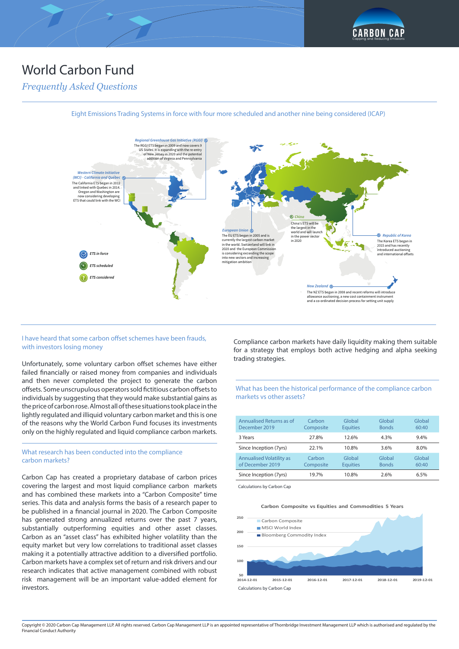

## *Frequently Asked Questions*



Eight Emissions Trading Systems in force with four more scheduled and another nine being considered (ICAP)

#### I have heard that some carbon offset schemes have been frauds, with investors losing money

Unfortunately, some voluntary carbon offset schemes have either failed financially or raised money from companies and individuals and then never completed the project to generate the carbon offsets. Some unscrupulous operators sold fictitious carbon offsets to individuals by suggesting that they would make substantial gains as the price of carbon rose. Almost all of these situations took place in the lightly regulated and illiquid voluntary carbon market and this is one of the reasons why the World Carbon Fund focuses its investments only on the highly regulated and liquid compliance carbon markets.

#### What research has been conducted into the compliance carbon markets?

Carbon Cap has created a proprietary database of carbon prices covering the largest and most liquid compliance carbon markets and has combined these markets into a "Carbon Composite" time series. This data and analysis forms the basis of a research paper to be published in a financial journal in 2020. The Carbon Composite has generated strong annualized returns over the past 7 years, substantially outperforming equities and other asset classes. Carbon as an "asset class" has exhibited higher volatility than the equity market but very low correlations to traditional asset classes making it a potentially attractive addition to a diversified portfolio. Carbon markets have a complex set of return and risk drivers and our research indicates that active management combined with robust risk management will be an important value-added element for investors.

Compliance carbon markets have daily liquidity making them suitable for a strategy that employs both active hedging and alpha seeking trading strategies.

#### What has been the historical performance of the compliance carbon markets vs other assets?

| Annualised Returns as of<br>December 2019           | Carbon<br>Composite | Global<br><b>Equities</b> | Global<br><b>Bonds</b> | Global<br>60:40 |
|-----------------------------------------------------|---------------------|---------------------------|------------------------|-----------------|
| 3 Years                                             | 27.8%               | 12.6%                     | 4.3%                   | 9.4%            |
| Since Inception (7yrs)                              | 22.1%               | 10.8%                     | 3.6%                   | 8.0%            |
| <b>Annualised Volatility as</b><br>of December 2019 | Carbon<br>Composite | Global<br><b>Equities</b> | Global<br><b>Bonds</b> | Global<br>60:40 |
| Since Inception (7yrs)                              | 19.7%               | 10.8%                     | 2.6%                   | 6.5%            |

Calculations by Carbon Cap

#### **Carbon Composite vs Equities and Commodities 5 Years**

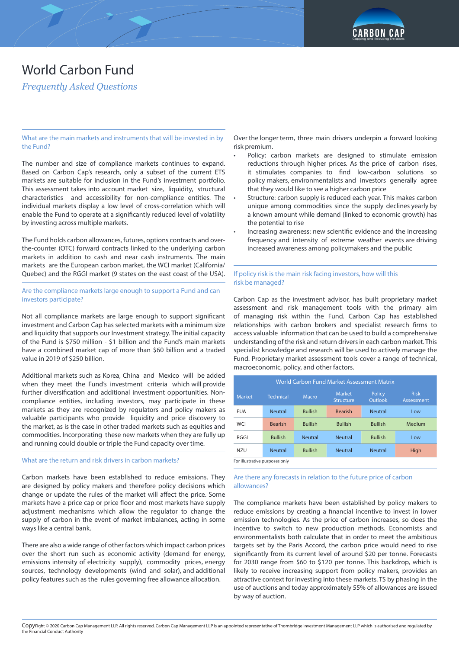

*Frequently Asked Questions*

What are the main markets and instruments that will be invested in by the Fund?

The number and size of compliance markets continues to expand. Based on Carbon Cap's research, only a subset of the current ETS markets are suitable for inclusion in the Fund's investment portfolio. This assessment takes into account market size, liquidity, structural characteristics and accessibility for non-compliance entities. The individual markets display a low level of cross-correlation which will enable the Fund to operate at a significantly reduced level of volatility by investing across multiple markets.

The Fund holds carbon allowances, futures, options contracts and overthe-counter (OTC) forward contracts linked to the underlying carbon markets in addition to cash and near cash instruments. The main markets are the European carbon market, the WCI market (California/ Quebec) and the RGGI market (9 states on the east coast of the USA).

Are the compliance markets large enough to support a Fund and can investors participate?

Not all compliance markets are large enough to support significant investment and Carbon Cap has selected markets with a minimum size and liquidity that supports our Investment strategy. The initial capacity of the Fund is \$750 million - \$1 billion and the Fund's main markets have a combined market cap of more than \$60 billion and a traded value in 2019 of \$250 billion.

Additional markets such as Korea, China and Mexico will be added when they meet the Fund's investment criteria which will provide further diversification and additional investment opportunities. Noncompliance entities, including investors, may participate in these markets as they are recognized by regulators and policy makers as valuable participants who provide liquidity and price discovery to the market, as is the case in other traded markets such as equities and commodities. Incorporating these new markets when they are fully up and running could double or triple the Fund capacity over time.

#### What are the return and risk drivers in carbon markets?

Carbon markets have been established to reduce emissions. They are designed by policy makers and therefore policy decisions which change or update the rules of the market will affect the price. Some markets have a price cap or price floor and most markets have supply adjustment mechanisms which allow the regulator to change the supply of carbon in the event of market imbalances, acting in some ways like a central bank.

There are also a wide range of other factors which impact carbon prices over the short run such as economic activity (demand for energy, emissions intensity of electricity supply), commodity prices, energy sources, technology developments (wind and solar), and additional policy features such as the rules governing free allowance allocation.

Over the longer term, three main drivers underpin a forward looking risk premium.

- Policy: carbon markets are designed to stimulate emission reductions through higher prices. As the price of carbon rises, it stimulates companies to find low-carbon solutions so policy makers, environmentalists and investors generally agree that they would like to see a higher carbon price
- Structure: carbon supply is reduced each year. This makes carbon unique among commodities since the supply declines yearly by a known amount while demand (linked to economic growth) has the potential to rise
- Increasing awareness: new scientific evidence and the increasing frequency and intensity of extreme weather events are driving increased awareness among policymakers and the public

#### If policy risk is the main risk facing investors, how will this risk be managed?

Carbon Cap as the investment advisor, has built proprietary market assessment and risk management tools with the primary aim of managing risk within the Fund. Carbon Cap has established relationships with carbon brokers and specialist research firms to access valuable information that can be used to build a comprehensive understanding of the risk and return drivers in each carbon market. This specialist knowledge and research will be used to actively manage the Fund. Proprietary market assessment tools cover a range of technical, macroeconomic, policy, and other factors.

| World Carbon Fund Market Assessment Matrix |                  |                |                                   |                   |                           |
|--------------------------------------------|------------------|----------------|-----------------------------------|-------------------|---------------------------|
| <b>Market</b>                              | <b>Technical</b> | Macro          | <b>Market</b><br><b>Structure</b> | Policy<br>Outlook | <b>Risk</b><br>Assessment |
| <b>EUA</b>                                 | <b>Neutral</b>   | <b>Bullish</b> | <b>Bearish</b>                    | <b>Neutral</b>    | Low                       |
| <b>WCI</b>                                 | <b>Bearish</b>   | <b>Bullish</b> | <b>Bullish</b>                    | <b>Bullish</b>    | Medium                    |
| RGGI                                       | <b>Bullish</b>   | <b>Neutral</b> | <b>Neutral</b>                    | <b>Bullish</b>    | Low                       |
| <b>NZU</b>                                 | <b>Neutral</b>   | <b>Bullish</b> | <b>Neutral</b>                    | <b>Neutral</b>    | High                      |
| For illustrative purposes only             |                  |                |                                   |                   |                           |

For illustrative purposes only

#### Are there any forecasts in relation to the future price of carbon allowances?

The compliance markets have been established by policy makers to reduce emissions by creating a financial incentive to invest in lower emission technologies. As the price of carbon increases, so does the incentive to switch to new production methods. Economists and environmentalists both calculate that in order to meet the ambitious targets set by the Paris Accord, the carbon price would need to rise significantly from its current level of around \$20 per tonne. Forecasts for 2030 range from \$60 to \$120 per tonne. This backdrop, which is likely to receive increasing support from policy makers, provides an attractive context for investing into these markets. TS by phasing in the use of auctions and today approximately 55% of allowances are issued by way of auction.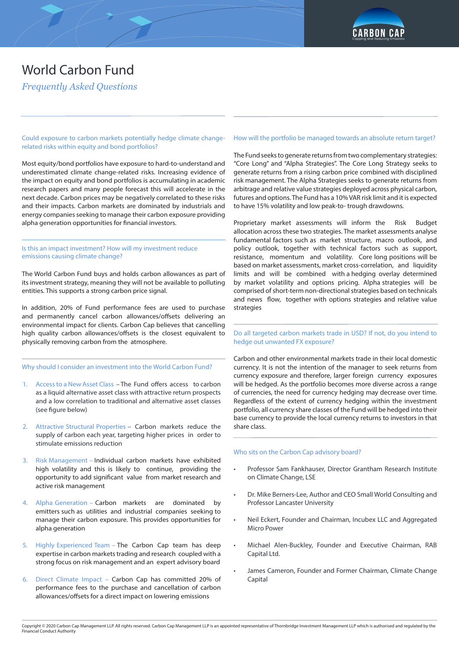

*Frequently Asked Questions*

Could exposure to carbon markets potentially hedge climate changerelated risks within equity and bond portfolios?

Most equity/bond portfolios have exposure to hard-to-understand and underestimated climate change-related risks. Increasing evidence of the impact on equity and bond portfolios is accumulating in academic research papers and many people forecast this will accelerate in the next decade. Carbon prices may be negatively correlated to these risks and their impacts. Carbon markets are dominated by industrials and energy companies seeking to manage their carbon exposure providing alpha generation opportunities for financial investors.

#### Is this an impact investment? How will my investment reduce emissions causing climate change?

The World Carbon Fund buys and holds carbon allowances as part of its investment strategy, meaning they will not be available to polluting entities. This supports a strong carbon price signal.

In addition, 20% of Fund performance fees are used to purchase and permanently cancel carbon allowances/offsets delivering an environmental impact for clients. Carbon Cap believes that cancelling high quality carbon allowances/offsets is the closest equivalent to physically removing carbon from the atmosphere.

#### Why should I consider an investment into the World Carbon Fund?

- 1. Access to a New Asset Class The Fund offers access to carbon as a liquid alternative asset class with attractive return prospects and a low correlation to traditional and alternative asset classes (see figure below)
- 2. Attractive Structural Properties Carbon markets reduce the supply of carbon each year, targeting higher prices in order to stimulate emissions reduction
- 3. Risk Management Individual carbon markets have exhibited high volatility and this is likely to continue, providing the opportunity to add significant value from market research and active risk management
- 4. Alpha Generation Carbon markets are dominated by emitters such as utilities and industrial companies seeking to manage their carbon exposure. This provides opportunities for alpha generation
- 5. Highly Experienced Team The Carbon Cap team has deep expertise in carbon markets trading and research coupled with a strong focus on risk management and an expert advisory board
- 6. Direct Climate Impact Carbon Cap has committed 20% of performance fees to the purchase and cancellation of carbon allowances/offsets for a direct impact on lowering emissions

#### How will the portfolio be managed towards an absolute return target?

The Fund seeks to generate returns from two complementary strategies: "Core Long" and "Alpha Strategies". The Core Long Strategy seeks to generate returns from a rising carbon price combined with disciplined risk management. The Alpha Strategies seeks to generate returns from arbitrage and relative value strategies deployed across physical carbon, futures and options. The Fund has a 10% VAR risk limit and it is expected to have 15% volatility and low peak-to- trough drawdowns.

Proprietary market assessments will inform the Risk Budget allocation across these two strategies. The market assessments analyse fundamental factors such as market structure, macro outlook, and policy outlook, together with technical factors such as support, resistance, momentum and volatility. Core long positions will be based on market assessments, market cross-correlation, and liquidity limits and will be combined with a hedging overlay determined by market volatility and options pricing. Alpha strategies will be comprised of short-term non-directional strategies based on technicals and news flow, together with options strategies and relative value strategies

Do all targeted carbon markets trade in USD? If not, do you intend to hedge out unwanted FX exposure?

Carbon and other environmental markets trade in their local domestic currency. It is not the intention of the manager to seek returns from currency exposure and therefore, larger foreign currency exposures will be hedged. As the portfolio becomes more diverse across a range of currencies, the need for currency hedging may decrease over time. Regardless of the extent of currency hedging within the investment portfolio, all currency share classes of the Fund will be hedged into their base currency to provide the local currency returns to investors in that share class.

#### Who sits on the Carbon Cap advisory board?

- Professor Sam Fankhauser, Director Grantham Research Institute on Climate Change, LSE
- Dr. Mike Berners-Lee, Author and CEO Small World Consulting and Professor Lancaster University
- Neil Eckert, Founder and Chairman, Incubex LLC and Aggregated Micro Power
- Michael Alen-Buckley, Founder and Executive Chairman, RAB Capital Ltd.
- James Cameron, Founder and Former Chairman, Climate Change Capital